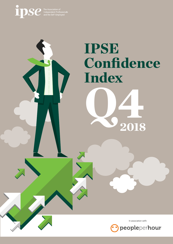

# IPSE Confidence<br>Index



2018

In association with: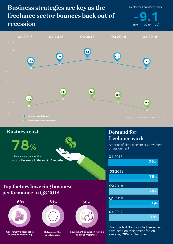## **Business strategies are key as the freelance sector bounces back out of recession**

Freelancer Confidence Index:

 $-9.1$ 



## **78% Business cost** of freelancers believe their costs will **increase in the next 12 months**

### **Demand for freelance work**

Amount of time freelancers have been on assignment



Over the last **12 months** freelancers have been on assignment for, on average, **79%** of the time

## **Top factors lowering business performance in Q3 2018**



**Government's fiscal policy relating to freelancing** 



**Outcome of the EU referendum**

**Government regulation relating to hiring freelancers**

**58%**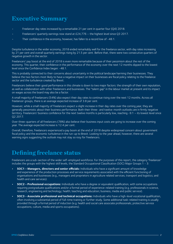## **Executive Summary**

- Freelancer day rates increased by a remarkable 21 per cent in quarter four (Q4) 2018.
- Freelancers' quarterly earnings now stand at £24,776 the highest level since Q3 2017.
- Their confidence in the economy, however, has fallen to a record low of  $-48.1$ .

Despite turbulence in the wider economy, 2018 ended remarkably well for the freelance sector, with day rates increasing by 21 per cent and overall quarterly earnings rising by 21.5 per cent. Before that, there were two consecutive quarters of negative growth in the sector.

Freelancers' pay boost at the end of 2018 is even more remarkable because of their pessimism about the rest of the economy. This quarter, their confidence in the performance of the economy over the next 12 months dipped to the lowest level since the Confidence Index began: -48.1.

This is probably connected to their concerns about uncertainty in the political landscape harming their businesses. They believe the two factors most likely to have a negative impact on their businesses are fiscal policy relating to the freelance sector and the turbulence created by Brexit.

Freelancers believe their good performance in this climate is down to two major factors: the strength of their own reputation, as well as collaboration with other freelancers and businesses. The "talent gap" in the labour market at present and its impact on wages across the board may also be a factor.

A small majority of freelancers (54%) also expect their day rates to continue rising over the next 12 months. Across all freelancer groups, there is an average expected increase of 3.8 per cent.

However, while a small majority of freelancers expect a slight increase in their day rates over the coming year, they are generally pessimistic about their business performance. Both their three- and twelve-month outlooks are in firmly negative territory. Freelancers' business confidence for the next twelve months is particularly low, reaching -9.1 – its lowest level since Q2 2017.

Over three-quarters of all freelancers (78%) also believe their business input costs are going to increase over the coming year. The average expected increase is 12.4 per cent.

Overall, therefore, freelancers experienced a pay boom at the end of 2018 despite widespread concern about government fiscal policy and the economic turbulence in the run-up to Brexit. Looking to the year ahead, however, there are several warning signs suggesting the outlook may not stay so rosy for freelancers.

## **Defining freelance status**

Freelancers are a sub-section of the wider self-employed workforce. For the purposes of this report, the category 'freelancer' includes the groups with the highest skill levels, the Standard Occupational Classification (SOC) Major Groups 1 - 3:

- **• SOC1 Managers, directors and senior officials:** Individuals who have a significant amount of knowledge and experience of the production processes and service requirements associated with the efficient functioning of organisations and businesses (e.g., managers and proprietors in agriculture related services; transport and logistics; and health and care services).
- **• SOC2 Professional occupations:** Individuals who have a degree or equivalent qualification, with some occupations requiring postgraduate qualifications and/or a formal period of experience-related training (e.g. professionals in science, research, engineering and technology; health; teaching and education; business, media and public service).
- **• SOC3 Associate professional and technical occupations:** Individuals who have a high-level vocational qualification, often involving a substantial period of full-time training or further study. Some additional task-related training is usually provided through a formal period of induction (e.g. health and social care associate professionals; protective service occupations; culture, media and sports occupations).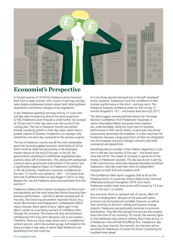

## **Economist's Perspective**

In the last quarter of 2018 the freelance sector bounced back from a weak summer, with a boom in earnings and day rates despite widespread concern about both faltering Brexit negotiations and drastic changes to tax regulations.

In Q4, freelancer quarterly earnings rose by 21.5 per cent and day rates increased by almost the same proportion (21%). Freelancers even forecast a small further net increase of 3.8 per cent in their day rates over the course of the coming year. The rise in freelancer income was almost entirely caused by growth in their day rates, rather than a greater volume of business. Freelancers, on average, only worked for one extra day compared to the previous quarter.

The rise in freelancer income was all the more remarkable given the increasing global economic uncertainty of 2018, which could be observed particularly in the downbeat market reports at the end of the year. In the UK, the government's stumbling EU withdrawal negotiations also pushed a drop-off in investment. This, along with widespread concerns about government intervention in the sector, had a significantly negative impact on freelancers' confidence in the UK economy. Freelancers' economic confidence for the next 12 months now stands at  $-48.1 -$  its lowest level since the Confidence Index surveys began in 2014. So why, despite this, has the freelance sector bounced back from the summer?

Freelancers believe their business strategies and their brand and reputation are the most important factors boosting their business performance – and this is almost certainly part of the story. But there may be another important factor. As a recent Recruitment and Employment Confederation (REC) report showed, there seems to be a "talent gap" in the labour market as uncertainty and lack of confidence filter through the economy. This means not only are businesses withdrawing from long-term decisions, but so are workers. Therefore, there are many areas where work is available but workers are not, which has pushed up pay. And based on the sharp increase in day rates, it seems likely freelancers are benefitting from this trend too.

It is not all pay growth and positives in the self-employed sector, however. Freelancers have lost confidence in their business performance in the short- and long-term. The freelancer business confidence index for the coming 12 months dropped to -9.1 - the lowest level since Q2 2017.

The data suggest several potential reasons for the steep decline in confidence. From freelancers' responses, it seems they believe Brexit and government taxation are, understandably, doing the most harm to business performance in their sector. Brexit, in particular, has almost continuously dominated the headlines. It is also important for freelancers because a large proportion of them are integrated into the European economy through contracts with both continental and global firms.

Something else to consider is that inflation dipped by 0.2 per cent in the last two months of the year – the lowest level since late 2016. This meant an increase in real terms to the money in freelancers' pockets. This dip was driven in part by a fall in petrol prices, which also disproportionately benefitted freelancers, who rely more than most on independent transport to both find and complete work.

The Confidence Index report suggests that as far as the freelance sector is concerned, there is likely to be continued inflationary pressure throughout 2019. As a result, freelancers predict their input prices will increase by 12.4 per cent in the next 12 months.

Any economic shock or upheaval will, of course, affect all forms of employment. Because of the ease with which contracts can be issued and cancelled, however, as well as their proximity to decision-making and business change projects, freelancers are particularly sensitive to economic shockwaves. They feel the changes first and are the canaries down the mine of our economy. Of course, the warning lights on the dashboard may come to nothing. But if they do not, it is freelancers who will feel the effects first. Freelancers' day rates may have risen for the moment, but the best advice would be for freelancers to invest this boom in preparing for troubled times ahead.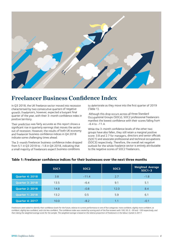

## **Freelancer Business Confidence Index**

In Q3 2018, the UK freelance sector moved into recession characterised by two consecutive quarters of negative growth. Freelancers, however, expected a buoyant final quarter of the year, with their 3-month confidence index in positive territory.

Their prediction was fairly accurate as this report shows a significant rise in quarterly earnings that moves the sector out of recession. However, the results of both UK economy and freelancer business confidence indices in Q4 2018 indicate some challenging times ahead.

The 3-month freelancer business confidence index dropped from 5.1 in Q3 2018 to -1.8 in Q4 2018, indicating that a small majority of freelancers expect business conditions

to deteriorate as they move into the first quarter of 2019 (Table 1).

 Although this drop occurs across all three Standard Occupational Groups (SOCs), SOC2 professional freelancers manifest the lowest confidence with their scores falling from  $-6.4$  to  $-11.4$ .

While the 3-month confidence levels of the other two groups have also fallen, they still retain a marginal positive score: 3.8 and 2.7 for managers, directors and senior officials (SOC1) and associate professional and technical occupations (SOC3) respectively. Therefore, the overall net negative outlook for the whole freelance sector is entirely attributable to the negative scores of SOC2 freelancers.

|                        | SOC <sub>1</sub> | SOC <sub>2</sub> | SOC <sub>3</sub> | <b>Weighted Average</b><br>$SOC1-3$ |
|------------------------|------------------|------------------|------------------|-------------------------------------|
| <b>Quarter 4: 2018</b> | 3.8              | $-11.4$          | 2.7              | $-1.8$                              |
| <b>Quarter 3: 2018</b> | 13.5             | $-6.4$           | 9.1              | 5.1                                 |
| <b>Quarter 2: 2018</b> | 14.8             | $-0.8$           | 12.0             | 8.4                                 |
| <b>Quarter 1: 2018</b> | 13.2             | 0.5              | 5.9              | 6.1                                 |
| <b>Quarter 4: 2017</b> | 10.0             | $-8.2$           | 1.1              | $-0.1$                              |

#### **Table 1: Freelancer confidence indices for their businesses over the next three months**

Freelancers were asked to identify their confidence levels for the future, relative to current performance in one of five categories: more confident, slightly more confident, as confident, slightly less confident, and a lot less confident. The confidence index was created by scoring each of the five answers with 100, 50, 0, -50 and -100 respectively, and *then taking the weighted average score for the sample. The weighted average is based on the relative proportion of freelancers in the labour market in 2017.*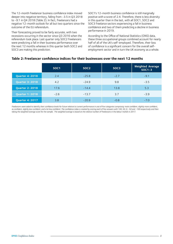The 12-month freelancer business confidence index moved deeper into negative territory, falling from -3.5 in Q3 2018 to -9.1 in Q4 2018 (Table 2). In fact, freelancers had a negative 12-month outlook for all but two quarters since the outcome of the EU referendum.

Their forecasting proved to be fairly accurate, with two recessions occurring in the sector since Q3 2016 when the referendum took place. Last quarter only SOC2 freelancers were predicting a fall in their business performance over the next 12 months whereas in this quarter both SOC2 and SOC3 are making this prediction.

SOC1's 12-month business confidence is still marginally positive with a score of 2.4. Therefore, there is less diversity in this quarter than in the last, with all SOC1, SOC2 and SOC3 freelance sectors experiencing a fall in business confidence and two of them predicting a decline in business performance in 2019.

According to the Office of National Statistics (ONS) data, these three occupational groups combined account for nearly half of all of the UK's self-employed. Therefore, their loss of confidence is a significant concern for the overall selfemployment sector and in turn the UK economy as a whole.

#### **Table 2: Freelancer confidence indices for their businesses over the next 12 months**

|                        | SOC <sub>1</sub> | SOC <sub>2</sub> | SOC <sub>3</sub> | <b>Weighted Average</b><br>$SOC1-3$ |
|------------------------|------------------|------------------|------------------|-------------------------------------|
| <b>Quarter 4: 2018</b> | 2.4              | $-25.8$          | $-2.7$           | $-9.1$                              |
| <b>Quarter 3: 2018</b> | 4.2              | $-24.9$          | 9.8              | $-3.5$                              |
| <b>Quarter 2: 2018</b> | 17.6             | $-14.4$          | 13.8             | 5.3                                 |
| <b>Quarter 1: 2018</b> | $-2.6$           | $-13.7$          | 3.7              | $-3.9$                              |
| <b>Quarter 4: 2017</b> | 3.8              | $-20.9$          | $-0.8$           | $-7.0$                              |

Freelancers were asked to identify their confidence levels for future relative to current performance in one of five categories comprising: more confident, slightly more confident, as confident, slightly less confident, and a lot less confident. The confidence index is created by scoring each of five answers with 100, 50, 0, -50 and -100 respectively and then *taking the weighted average score for the sample. The weighted average is based on the relative number of freelancers in the labour market in 2017.*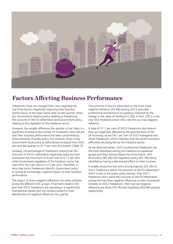

## **Factors Affecting Business Performance**

Freelancers have not changed their view regarding the top three factors negatively impacting their business performance. In the exact same order as last quarter, these are: Government taxation policy relating to freelancing, the outcome of the EU referendum and Government policy relating to the regulation of the freelance sector.

However, the notable difference this quarter is that there is a significant increase in the number of freelancers who indicate that their business performance has been constrained by these elements of public policy. For instance, those citing Government fiscal policy as detrimental increased from 58.6 per cent last quarter to 67.5 per cent this quarter (Table 3).

Similarly, the percentage of freelancers stating that the outcome of the EU referendum negatively impacted their businesses has risen from 53.6 per cent to 61.3 per cent, while Government regulation of the freelance sector has risen from 50.3 per cent to 57.5 per cent. Therefore, in very clear terms freelancers identify Government policy as having an increasingly negative impact on their business performance.

The impact of these negative influences has some variation across the different SOC groups. It has been noted in the past that SOC3 freelancers are operating in a significantly international market and this remains evident in their identification of negative influences this quarter.

The outcome of the EU referendum is the most cited negative influence (63.4%) among SOC3 associate professional and technical occupations, followed by the change in the value of Sterling (52.2%). In fact, SOC3 is the only SOC freelance cohort who cites this as a top negative influence.

A total of 51.1 per cent of SOC3 freelancers also believe they are negatively affected by the growth/state of the UK economy, as are 58.1 per cent of SOC1managerial and senior freelancers, which indicates that the recent economic difficulties are being felt by the freelance sector.

As we observed earlier, SOC2 professional freelancers are the most downbeat among the freelance occupational groups and they directly blame the Government, with fiscal policy (85.2%) and regulatory policy (81.3%) being identified as having a detrimental effect on their business.

A smaller proportion but still a strong majority (65.3%) of SOC2 freelancers blame the outcome of the EU referendum which is also in the public policy domain. Only SOC1 freelancers don't place the outcome of the EU referendum among the top three negative influences on their businesses. Similarly to SOC2 freelancers, their top two negative influences are fiscal (76.7%) and regulatory (62.8%) policies respectively.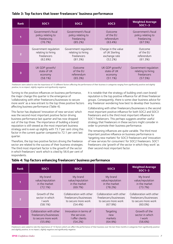#### **Table 3: Top factors that lower freelancers' business performance**

| <b>Rank</b>    | SOC <sub>1</sub>      | SOC <sub>2</sub>      | SOC <sub>3</sub>    | <b>Weighted Average</b><br>$SOC1-3$ |
|----------------|-----------------------|-----------------------|---------------------|-------------------------------------|
|                | Government's fiscal   | Government's fiscal   | Outcome             | Government's fiscal                 |
|                | policy relating to    | policy relating to    | of the EU           | policy relating to                  |
|                | freelancing           | freelancing           | referendum          | freelancing                         |
|                | (76.7%)               | (85.2%)               | (63.4%)             | (67.5%)                             |
| $\overline{2}$ | Government requlation | Government regulation | Change in the value | Outcome                             |
|                | relating to hiring    | relating to hiring    | of UK Sterling      | of the EU                           |
|                | freelancers           | freelancers           | exchange rate       | referendum                          |
|                | (62.8%)               | (81.3%)               | (52.2%)             | (61.3%)                             |
| 3              | UK GDP growth/        | Outcome               | UK GDP growth/      | Government regulation               |
|                | state of UK           | of the EU             | state of UK         | relating to hiring                  |
|                | economy               | referendum            | economy             | freelancers                         |
|                | (58.1%)               | (65.3%)               | (51.1%)             | (57.5%)                             |

Freelancers were asked to rate the importance of 15 different factors affecting the performance of their business in categories ranging from significantly positive and slightly *positive, to no impact, slightly negative and significantly negative.*

Turning to the positive influences on business performance, the major change this quarter is the emergence of 'collaborating with other freelancers/businesses to secure more work' as a new entrant to the top three positive factors affecting business performance (Table 4).

This factor has displaced 'innovation of new services' which was the second most important positive factor driving business performance last quarter and has now dropped out of the top three. The importance of building a brand/ reputation is still viewed as the most important business strategy and is even up slightly with 73.7 per cent citing this factor in the current quarter compared to 72.1 per cent last quarter.

Therefore, the top two positive factors driving the freelance sector are related to the success of their business strategies. The third most important factor is the growth of the sector in which freelancers' work which is cited by 56.6 per cent of respondents.

It is notable that the strategy of building one's own brand/ reputation is the top positive influence for all three freelancer groups. Consequently, there is some clear business advice for any freelancer wondering how best to develop their business.

Collaborating with other freelancers/businesses is the second most important positive influence for both SOC2 and SOC3 freelancers and is the third most important influence for SOC1 freelancers. This perhaps suggests another useful strategy that freelancers in these sectors might consider in order to promote their business performance.

The remaining influences are quite variable. The third most important positive influence on business performance is 'targeting new markets' for SOC3 freelancers and 'innovation of new services for consumers' for SOC2 freelancers. SOC1 freelancers cite 'growth of the sector in which they work' as their second most important factor.

| <b>Rank</b>    | SOC <sub>1</sub>         | SOC <sub>2</sub>         | SOC <sub>3</sub>         | <b>Weighted Average</b><br>$SOC1-3$ |
|----------------|--------------------------|--------------------------|--------------------------|-------------------------------------|
|                | My brand                 | My brand                 | My brand                 | My brand                            |
|                | value/reputation         | value/reputation         | value/reputation         | value/reputation                    |
|                | in the market            | in the market            | in the market            | in the market                       |
|                | (72.1%)                  | (69.7%)                  | (78.2%)                  | (73.7%)                             |
| $\overline{2}$ | Growth of the            | Collaboration with other | Collaboration with other | Collaboration with other            |
|                | sector in which          | freelancers/businesses   | freelancers/businesses   | freelancers/businesses              |
|                | I work                   | to secure more work      | to secure more work      | to secure more work                 |
|                | (58.1%)                  | (54.4%)                  | (67.9%)                  | $(60.0\%)$                          |
| 3              | Collaboration with other | Innovation in terms of   | Targeting                | Growth of the                       |
|                | freelancers/businesses   | the services             | new                      | sector in which                     |
|                | to secure more work      | I offer clients          | markets                  | I work                              |
|                | (55.8%)                  | (54.2%)                  | (64.9%)                  | (56.6%)                             |

#### **Table 4: Top factors enhancing freelancers' business performance**

Freelancers were asked to rate the importance of 15 factors which can affect the performance of their business over the last three months in categories from significantly positive *and slightly positive, to no impact, slightly negative and significantly negative.*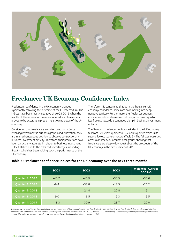

## **Freelancer UK Economy Confidence Index**

Freelancers' confidence in the UK economy dropped significantly following the outcome of the EU referendum. The indices have been mostly negative since Q3 2016 when the results of the referendum were announced, and freelancers proved to be accurate in predicting a slowing down of the UK economy.

Considering that freelancers are often used on projects involving investment in business growth and innovation, they are in an advantageous position to observe contractionary business investment activity. Therefore, their predictions have been particularly accurate in relation to business investment - itself stalled due to the risks and uncertainty surrounding Brexit - which has been holding back the performance of the UK economy.

Therefore, it is concerning that both the freelancer UK economy confidence indices are now moving into deep negative territory. Furthermore, the freelancer business confidence indices also moved into negative territory which itself points towards a continued slump in business investment activity.

The 3-month freelancer confidence index in the UK economy fell from -21.2 last quarter to -37.6 this quarter which is its second lowest score on record (Table 5). The fall was observed across all three SOC occupational groups showing that freelancers are deeply downbeat about the prospects of the UK economy in the first quarter of 2019.

|                        | SOC <sub>1</sub> | SOC <sub>2</sub> | SOC <sub>3</sub> | <b>Weighted Average</b><br>$SOC1-3$ |
|------------------------|------------------|------------------|------------------|-------------------------------------|
| <b>Quarter 4: 2018</b> | $-40.7$          | $-40.9$          | $-32.5$          | $-37.6$                             |
| <b>Quarter 3: 2018</b> | $-9.4$           | $-33.8$          | $-18.5$          | $-21.2$                             |
| <b>Quarter 2: 2018</b> | $-11.1$          | $-21.4$          | $-22.8$          | $-19.1$                             |
| <b>Quarter 1: 2018</b> | $-9.0$           | $-16.5$          | $-19.3$          | $-15.5$                             |
| <b>Quarter 4: 2017</b> | $-18.3$          | $-30.9$          | $-28.7$          | $-27.0$                             |

#### **Table 5: Freelancer confidence indices for the UK economy over the next three months**

Freelancers were asked to rate their confidence for the futre in one of five categories: more confident, slightly more confident, as confident, slightly less confident, and a lot less *confident. The confidence index was created by scoring each of the five answers with 100, 50, 0, -50 and -100 respectively, and then taking the weighted average score for the sample. The weighted average is based on the relative number of freelancers in the labour market in 2017.*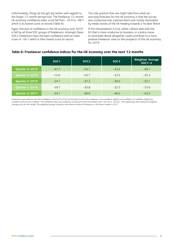Unfortunately, things do not get any better with regards to the longer 12-month perspective. The freelancer 12-month UK economy confidence index score fell from -35.4 to -48.1 which is its lowest score on record (Table 6).

Again, this lack of confidence in the UK economy over 2019 is felt by all three SOC groups of freelancers. Amongst these, SOC2 freelancers have the least confidence with an index score of -54.1 which is their lowest score on record.

The only positive that one might take from what are worrying forecasts for the UK economy is that the survey was conducted over a period which was mostly dominated by media stories of the UK heading towards a 'no deal' Brexit.

If this interpretation is true, either a Brexit deal with the EU that is more conducive to business, or a policy move to reconsider Brexit altogether could contribute to a more positive freelancer view on the prospects of the UK economy for 2019.

#### **Table 6: Freelancer confidence indices for the UK economy over the next 12 months**

|                        | SOC <sub>1</sub> | SOC <sub>2</sub> | SOC <sub>3</sub> | <b>Weighted Average</b><br>$SOC1-3$ |
|------------------------|------------------|------------------|------------------|-------------------------------------|
| <b>Quarter 4: 2018</b> | $-47.7$          | $-54.1$          | $-43.3$          | $-48.1$                             |
| <b>Quarter 3: 2018</b> | $-15.6$          | $-53.7$          | $-33.5$          | $-35.4$                             |
| <b>Quarter 2: 2018</b> | $-24.1$          | $-37.2$          | $-36.0$          | $-33.1$                             |
| <b>Quarter 1: 2018</b> | $-39.7$          | $-30.8$          | $-32.5$          | $-33.9$                             |
| <b>Quarter 4: 2017</b> | $-34.1$          | $-46.0$          | $-46.3$          | $-43.3$                             |

*Freelancers were asked to rate their confidence in the future of the UK economy in one of five categories: more confident, slightly more confident, as confident, slightly less confident, and a lot less confident. The confidence index was created by scoring each of the five answers with 100, 50, 0, -50 and -100 respectively, then taking the weighted average score for the sample. The weighted average is based on the relative number of freelancers in the labour market in 2017.*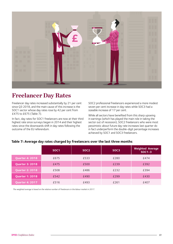

## **Freelancer Day Rates**

Freelancer day rates increased substantially by 21 per cent since Q3 2018, and the main cause of this increase is the SOC1 sector whose day rates rose by 42 per cent from £475 to £675 (Table 7).

In fact, day rates for SOC1 freelancers are now at their third highest rate since surveys began in 2014 and their highest rates since the downwards shift in day rates following the outcome of the EU referendum.

SOC2 professional freelancers experienced a more modest seven per cent increase in day rates while SOC3 had a sizeable increase of 17 per cent.

While all sectors have benefited from this sharp upswing in earnings (which has played the main role in taking the sector out of recession), SOC2 freelancers who were most pessimistic about future day rate increases last quarter do in fact underperform the double-digit percentage increases achieved by SOC1 and SOC3 freelancers.

|                        | SOC <sub>1</sub> | SOC <sub>2</sub> | SOC <sub>3</sub> | <b>Weighted Average</b><br>$SOC1-3$ |
|------------------------|------------------|------------------|------------------|-------------------------------------|
| <b>Quarter 4: 2018</b> | £675             | £533             | £280             | £474                                |
| <b>Quarter 3: 2018</b> | £475             | £500             | £239             | £392                                |
| <b>Quarter 2: 2018</b> | £508             | £486             | £232             | £394                                |
| <b>Quarter 1: 2018</b> | £542             | £490             | £299             | £430                                |
| <b>Quarter 4: 2017</b> | £516             | £493             | £261             | £407                                |

#### **Table 7: Average day rates charged by freelancers over the last three months**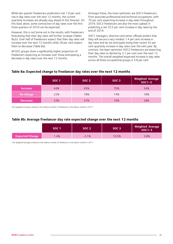While last quarter freelancers predicted a net 7.9 per cent rise in day rates over the next 12 months, the current quarterly increases are already way ahead of this forecast. On this basis alone, some contraction of day rates over the first three quarters of 2019 can be expected.

However, this is not borne out in the results, with freelancers forecasting that their day rates will further increase (Tables 8a,b). Over half of freelancers expect that their day rates will increase over the next 12 months while 28 per cent expect them to decrease (Table 8a).

All SOC groups show a significantly higher proportion of freelancers expecting an increase over those anticipating a decrease in day rates over the next 12 months.

Amongst these, the most optimistic are SOC3 freelancers from associate professional and technical occupations, with 70 per cent expecting increase in day rates throughout 2019. SOC3 freelancers are also the most upbeat in predicting a net 10.5 per cent increase in day rates by the end of 2019.

SOC1 managers, directors and senior officials predict that they will secure a very modest 1.4 per cent increase in day rates and do not anticipate losing their recent 42 per cent quarterly increase in day rates over the next year. By contrast, the least optimistic SOC2 freelancers are expecting their day rates to decline by 2.1 per cent over the next 12 months. The overall weighted expected increase in day rates across all three occupational groups is 3.8 per cent.

#### **Table 8a: Expected change to freelancer day rates over the next 12 months**

|                 | SOC <sub>1</sub> | SOC <sub>2</sub> | SOC <sub>3</sub> | <b>Weighted Average</b><br>$SOC1-3$ |
|-----------------|------------------|------------------|------------------|-------------------------------------|
| <b>Increase</b> | 44%              | 45%              | 70%              | 54%                                 |
| No change       | 22%              | 18%              | 14%              | 18%                                 |
| <b>Decrease</b> | 33%              | 37%              | 16%              | 28%                                 |

*The weighted average is based on the relative number of freelancers in the labour market in 2017.* 

#### **Table 8b: Average freelancer day rate expected change over the next 12 months**

|                        | SOC 1 | SOC <sub>2</sub> | SOC <sub>3</sub> | <b>Weighted Average</b><br>$SOC1-3$ |
|------------------------|-------|------------------|------------------|-------------------------------------|
| <b>Expected Change</b> | 1.4%  | $-2.1%$          | 10.5%            | 3.8%                                |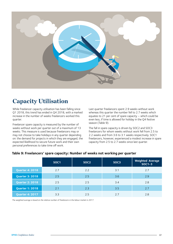

## **Capacity Utilisation**

While freelancer capacity utilisation has been falling since Q1 2018, this trend has ended in Q4 2018, with a marked increase in the number of weeks freelancers worked this quarter.

Freelancer spare capacity is measured by the number of weeks without work per quarter out of a maximum of 13 weeks. This measure is used because freelancers may or may not choose to take holidays in any quarter depending on: the demand for projects in which they are engaged, the expected likelihood to secure future work and their own personal preferences to take time off work.

Last quarter freelancers spent 2.9 weeks without work whereas this quarter the number fell to 2.7 weeks which equates to 21 per cent of spare capacity – which could be even less, if time is allowed for holiday in the Q4 festive season (Table 9).

The fall in spare capacity is driven by SOC2 and SOC3 freelancers for whom weeks without work fell from 2.5 to 2.2 weeks and from 3.6 to 3.1 weeks respectively. SOC1 freelancers, however, experienced a modest increase in spare capacity from 2.5 to 2.7 weeks since last quarter.

|                        | SOC <sub>1</sub> | SOC <sub>2</sub> | SOC <sub>3</sub> | <b>Weighted Average</b><br>$SOC1-3$ |
|------------------------|------------------|------------------|------------------|-------------------------------------|
| <b>Quarter 4: 2018</b> | 2.7              | 2.2              | 3.1              | 2.7                                 |
| <b>Quarter 3: 2018</b> | 2.5              | 2.5              | 3.6              | 2.9                                 |
| <b>Quarter 2: 2018</b> | 2.5              | 2.5              | 3.4              | 2.8                                 |
| <b>Quarter 1: 2018</b> | 2.1              | 2.3              | 3.5              | 2.7                                 |
| <b>Quarter 4: 2017</b> | 3.3              | 2.5              | 2.7              | 2.8                                 |

#### **Table 9: Freelancers' spare capacity: Number of weeks not working per quarter**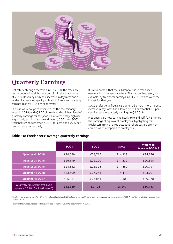

## **Quarterly Earnings**

Just after entering a recession in Q3 2018, the freelance sector bounced straight back out of it in the final quarter of 2018. Driven by a sizeable increase in day rates and a modest increase in capacity utilisation, freelancer quarterly earnings rose by 21.5 per cent overall.

This rise was enough to reverse all of the recessionary losses in 2019, with Q4 2018 reaching the highest level of quarterly earnings for the year. This exceptionally high rise in quarterly earnings is mainly driven by SOC1 and SOC3 freelancers who witnessed a 32.4 per cent and a 27.5 per cent increase respectively.

It is also notable that the substantial rise in freelancer earnings is not a seasonal effect. This can be illustrated, for example, by freelancer earnings in Q4 2017 which were the lowest for that year.

SOC2 professional freelancers who had a much more modest increase in day rates had a lower but still substantial 9.6 per cent increase in quarterly earnings in Q4 2018.

Freelancers are now earning nearly two and half (2.45) times the earnings of equivalent employees, highlighting that freelancers from all three occupational groups are premium earners when compared to employees.

|                                                                 | SOC <sub>1</sub> | SOC <sub>2</sub> | SOC <sub>3</sub> | Weighted<br><b>Average SOC1-3</b> |
|-----------------------------------------------------------------|------------------|------------------|------------------|-----------------------------------|
| <b>Quarter 4: 2018</b>                                          | £34,589          | £28,715          | £14.329          | £24,776                           |
| <b>Quarter 3: 2018</b>                                          | £26,119          | £26.200          | £11,239          | £20,398                           |
| <b>Quarter 2: 2018</b>                                          | £28,332          | £25,325          | £11.459          | £20.797                           |
| <b>Quarter 1: 2018</b>                                          | £33,509          | £26.254          | £14,471          | £23,701                           |
| <b>Quarter 4: 2017</b>                                          | £25,281          | £25.854          | £13.809          | £20.970                           |
| Quarterly equivalent employee<br>earnings 2018 (ONS estimates*) | £12.689          | £9.793           | £8,607           | £10,133                           |

#### **Table 10: Freelancers' average quarterly earnings**

*\*Employee earnings are based on Office for National Statistics (ONS) data on gross weekly earnings by employees from the provisional 2018 Annual Survey of Hours and Earnings, October 2018.*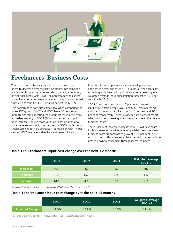

## **Freelancers' Business Costs**

The proportion of freelancers who expect their input prices to decrease over the next 12 months has remained unchanged from last quarter and stands at a small minority of eight per cent (Table 11a). The percentage who expect prices to increase remains a large majority and has increased from 75 per cent in Q3 2018 to 78 per cent in Q4 2018.

This pattern does not vary a great deal when comparing the three SOC groups. SOC2 and SOC3 have 80 per cent or more freelancers expecting their input process to rise while a sizeable majority of SOC1 (66%) also expect an input price increase. There is more variation in anticipation of a price decrease with only four per cent of SOC2 professional freelancers expecting a decrease in comparison with 14 per cent of SOC1 managers, directors and senior officials.

In terms of the net percentage change in input prices anticipated across the three SOC groups, all freelancers are expecting a double-digit input price increase resulting in a weighted average input price inflation forecast of 12.4 per cent (Table 11b).

SOC3 freelancers predict a 14.7 per cent increase in input price inflation while SOC1 and SOC2 freelancers are anticipating input price inflation of 11.0 per cent and 10.8 per cent respectively. There is evidence in this latest report which indicates increasing inflationary pressure in the price of business inputs.

The 21 per cent increase in day rates in Q4 will raise costs for businesses in the wider economy whilst freelancers' own business costs are forecast to grow at 12.4 per cent in 2019. A proportion of this change can be expected to eventually be passed down to consumers through increased prices.

|                  | SOC <sub>1</sub> | SOC <sub>2</sub> | SOC <sub>3</sub> | Weighted Average<br>SOC1-3 |
|------------------|------------------|------------------|------------------|----------------------------|
| <b>Increased</b> | 66%              | 80%              | 85%              | 78%                        |
| No change        | 21%              | 15%              | 8%               | 14%                        |
| <b>Decreased</b> | 14%              | 4%               | 7%               | 8%                         |

#### **Table 11a: Freelancers' input cost change over the next 12 months**

*The weighted average is based on the relative number of freelancers in the labour market in 2017.* 

#### **Table 11b: Freelancer input cost change over the next 12 months**

|                        | SOC <sub>1</sub> | SOC2  | SOC3  | <b>Weighted Average</b><br>$SOC1-3$ |
|------------------------|------------------|-------|-------|-------------------------------------|
| <b>Expected Change</b> | 11.0%            | 10.8% | 14.7% | 12.4%                               |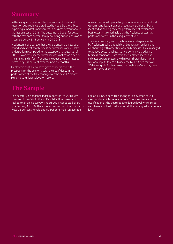## **Summary**

In the last quarterly report the freelance sector entered recession but freelancers predicted it would be short-lived expecting a modest improvement in business performance in the last quarter of 2018. The outcome had been far better, with the freelance sector literally bouncing out of recession as income grew by 21.5 per cent in Q4 2018.

Freelancers don't believe that they are entering a new boom period and expect that business performance over 2019 will underperform compared to the exceptional last quarter of 2019. However, underperformance does not mean a decline in earnings and in fact, freelancers expect their day rates to increase by 3.8 per cent over the next 12 months.

Freelancers continue to have grave concerns about the prospects for the economy with their confidence in the performance of the UK economy over the next 12 months plunging to its lowest level on record.

## **The Sample**

The quarterly Confidence Index report for Q4 2018 was compiled from 644 IPSE and PeoplePerHour members who replied to an online survey. The survey is conducted every quarter. In Q4 2018, the survey composition of respondents was: 28 per cent female and 69 per cent male, an average

Against the backdrop of a tough economic environment and Government fiscal, Brexit and regulatory policies all being identified as holding back the performance of freelancers' businesses, it is remarkable that the freelance sector has performed so well in the last quarter of 2018.

The credit mainly goes to the business strategies adopted by freelancers who through brand/reputation building and collaborating with other freelancers/businesses have managed to achieve exceptional quarterly growth in very adverse business conditions. Data from the freelance sector also indicates upward pressure within overall UK inflation, with freelance inputs forecast to increase by 12.4 per cent over 2019 alongside further growth in freelancers' own day rates over the same duration.

age of 44, have been freelancing for an average of 9.4 years and are highly educated – 28 per cent have a highest qualification at the postgraduate degree level while 56 per cent have a highest qualification at the undergraduate degree level.